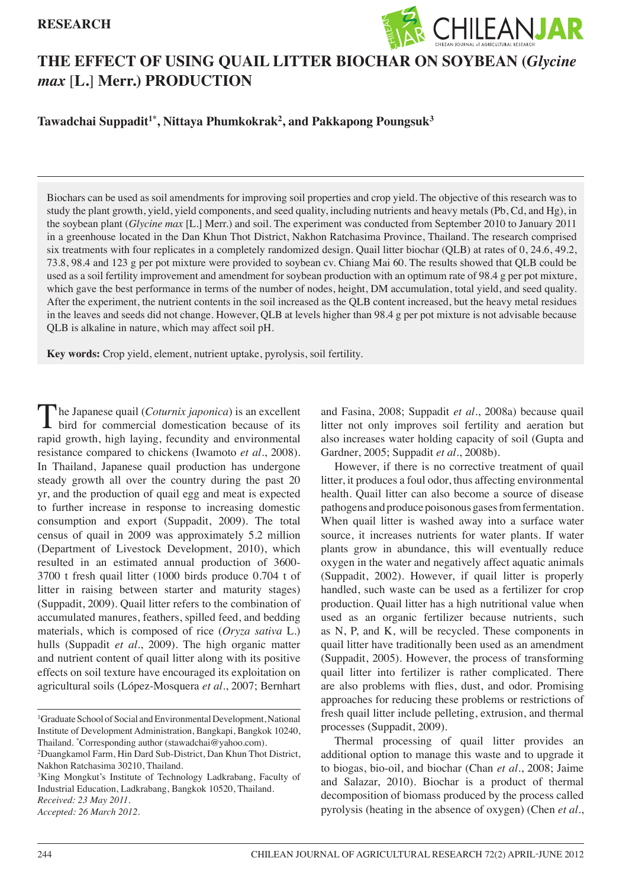# **RESEARCH**



# **THE EFFECT OF USING QUAIL LITTER BIOCHAR ON SOYBEAN (***Glycine max* [**L.**] **Merr.) PRODUCTION**

# **Tawadchai Suppadit1\*, Nittaya Phumkokrak2 , and Pakkapong Poungsuk3**

Biochars can be used as soil amendments for improving soil properties and crop yield. The objective of this research was to study the plant growth, yield, yield components, and seed quality, including nutrients and heavy metals (Pb, Cd, and Hg), in the soybean plant (*Glycine max* [L.] Merr.) and soil. The experiment was conducted from September 2010 to January 2011 in a greenhouse located in the Dan Khun Thot District, Nakhon Ratchasima Province, Thailand. The research comprised six treatments with four replicates in a completely randomized design. Quail litter biochar (QLB) at rates of 0, 24.6, 49.2, 73.8, 98.4 and 123 g per pot mixture were provided to soybean cv. Chiang Mai 60. The results showed that QLB could be used as a soil fertility improvement and amendment for soybean production with an optimum rate of 98.4 g per pot mixture, which gave the best performance in terms of the number of nodes, height, DM accumulation, total yield, and seed quality. After the experiment, the nutrient contents in the soil increased as the QLB content increased, but the heavy metal residues in the leaves and seeds did not change. However, QLB at levels higher than 98.4 g per pot mixture is not advisable because QLB is alkaline in nature, which may affect soil pH.

**Key words:** Crop yield, element, nutrient uptake, pyrolysis, soil fertility.

he Japanese quail (*Coturnix japonica*) is an excellent bird for commercial domestication because of its rapid growth, high laying, fecundity and environmental resistance compared to chickens (Iwamoto *et al*., 2008). In Thailand, Japanese quail production has undergone steady growth all over the country during the past 20 yr, and the production of quail egg and meat is expected to further increase in response to increasing domestic consumption and export (Suppadit, 2009). The total census of quail in 2009 was approximately 5.2 million (Department of Livestock Development, 2010), which resulted in an estimated annual production of 3600- 3700 t fresh quail litter (1000 birds produce 0.704 t of litter in raising between starter and maturity stages) (Suppadit, 2009). Quail litter refers to the combination of accumulated manures, feathers, spilled feed, and bedding materials, which is composed of rice (*Oryza sativa* L.) hulls (Suppadit *et al*., 2009). The high organic matter and nutrient content of quail litter along with its positive effects on soil texture have encouraged its exploitation on agricultural soils (López-Mosquera *et al*., 2007; Bernhart

and Fasina, 2008; Suppadit et al., 2008a) because quail litter not only improves soil fertility and aeration but also increases water holding capacity of soil (Gupta and Gardner, 2005; Suppadit *et al*., 2008b).

However, if there is no corrective treatment of quail litter, it produces a foul odor, thus affecting environmental health. Quail litter can also become a source of disease pathogens and produce poisonous gases from fermentation. When quail litter is washed away into a surface water source, it increases nutrients for water plants. If water plants grow in abundance, this will eventually reduce oxygen in the water and negatively affect aquatic animals (Suppadit, 2002). However, if quail litter is properly handled, such waste can be used as a fertilizer for crop production. Quail litter has a high nutritional value when used as an organic fertilizer because nutrients, such as N, P, and K, will be recycled. These components in quail litter have traditionally been used as an amendment (Suppadit, 2005). However, the process of transforming quail litter into fertilizer is rather complicated. There are also problems with flies, dust, and odor. Promising approaches for reducing these problems or restrictions of fresh quail litter include pelleting, extrusion, and thermal processes (Suppadit, 2009).

Thermal processing of quail litter provides an additional option to manage this waste and to upgrade it to biogas, bio-oil, and biochar (Chan *et al*., 2008; Jaime and Salazar, 2010). Biochar is a product of thermal decomposition of biomass produced by the process called pyrolysis (heating in the absence of oxygen) (Chen *et al*.,

<sup>&</sup>lt;sup>1</sup>Graduate School of Social and Environmental Development, National Institute of Development Administration, Bangkapi, Bangkok 10240, Thailand. \* Corresponding author (stawadchai@yahoo.com).

<sup>2</sup> Duangkamol Farm, Hin Dard Sub-District, Dan Khun Thot District, Nakhon Ratchasima 30210, Thailand.

<sup>&</sup>lt;sup>3</sup>King Mongkut's Institute of Technology Ladkrabang, Faculty of Industrial Education, Ladkrabang, Bangkok 10520, Thailand. *Received: 23 May 2011. Accepted: 26 March 2012.*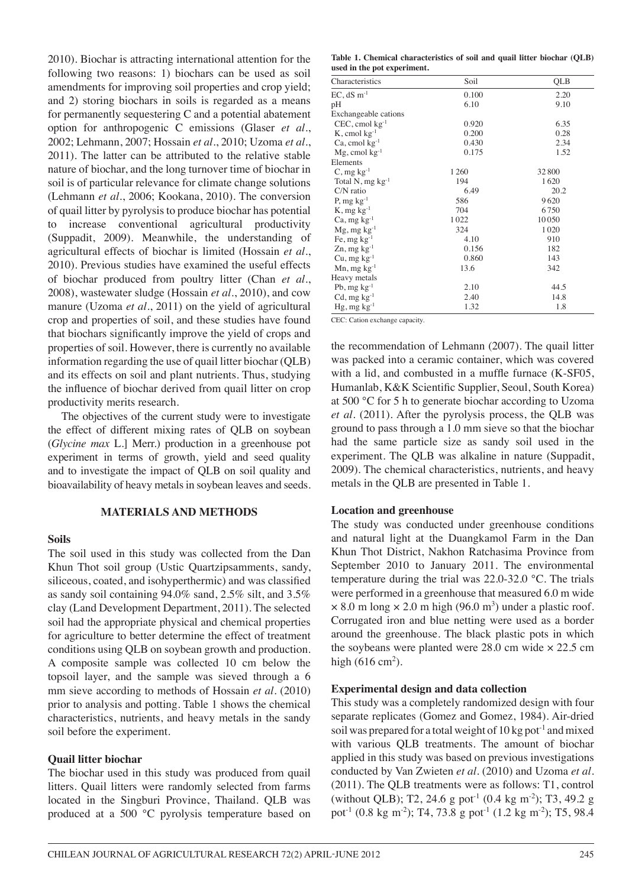2010). Biochar is attracting international attention for the following two reasons: 1) biochars can be used as soil amendments for improving soil properties and crop yield; and 2) storing biochars in soils is regarded as a means for permanently sequestering C and a potential abatement option for anthropogenic C emissions (Glaser *et al*., 2002; Lehmann, 2007; Hossain *et al*., 2010; Uzoma *et al*., 2011). The latter can be attributed to the relative stable nature of biochar, and the long turnover time of biochar in soil is of particular relevance for climate change solutions (Lehmann *et al*., 2006; Kookana, 2010). The conversion of quail litter by pyrolysis to produce biochar has potential to increase conventional agricultural productivity (Suppadit, 2009). Meanwhile, the understanding of agricultural effects of biochar is limited (Hossain *et al*., 2010). Previous studies have examined the useful effects of biochar produced from poultry litter (Chan *et al*., 2008), wastewater sludge (Hossain *et al*., 2010), and cow manure (Uzoma *et al*., 2011) on the yield of agricultural crop and properties of soil, and these studies have found that biochars significantly improve the yield of crops and properties of soil. However, there is currently no available information regarding the use of quail litter biochar (QLB) and its effects on soil and plant nutrients. Thus, studying the influence of biochar derived from quail litter on crop productivity merits research.

The objectives of the current study were to investigate the effect of different mixing rates of QLB on soybean (*Glycine max* L.] Merr.) production in a greenhouse pot experiment in terms of growth, yield and seed quality and to investigate the impact of QLB on soil quality and bioavailability of heavy metals in soybean leaves and seeds.

# **MATERIALS AND METHODS**

#### **Soils**

The soil used in this study was collected from the Dan Khun Thot soil group (Ustic Quartzipsamments, sandy, siliceous, coated, and isohyperthermic) and was classified as sandy soil containing 94.0% sand, 2.5% silt, and 3.5% clay (Land Development Department, 2011). The selected soil had the appropriate physical and chemical properties for agriculture to better determine the effect of treatment conditions using QLB on soybean growth and production. A composite sample was collected 10 cm below the topsoil layer, and the sample was sieved through a 6 mm sieve according to methods of Hossain *et al*. (2010) prior to analysis and potting. Table 1 shows the chemical characteristics, nutrients, and heavy metals in the sandy soil before the experiment.

# **Quail litter biochar**

The biochar used in this study was produced from quail litters. Quail litters were randomly selected from farms located in the Singburi Province, Thailand. QLB was produced at a 500 °C pyrolysis temperature based on

**Table 1. Chemical characteristics of soil and quail litter biochar (QLB) used in the pot experiment.**

| Characteristics            | Soil  | QLB   |  |  |  |
|----------------------------|-------|-------|--|--|--|
| $EC$ , dS $m^{-1}$         | 0.100 | 2.20  |  |  |  |
| pH                         | 6.10  | 9.10  |  |  |  |
| Exchangeable cations       |       |       |  |  |  |
| $CEC$ , cmol $kg^{-1}$     | 0.920 | 6.35  |  |  |  |
| $K$ , cmol $kg^{-1}$       | 0.200 | 0.28  |  |  |  |
| $Ca$ , cmol $kg^{-1}$      | 0.430 | 2.34  |  |  |  |
| $Mg$ , cmol $kg^{-1}$      | 0.175 | 1.52  |  |  |  |
| Elements                   |       |       |  |  |  |
| $C, mg kg^{-1}$            | 1 260 | 32800 |  |  |  |
| Total N, $mg \, kg^{-1}$   | 194   | 1620  |  |  |  |
| C/N ratio                  | 6.49  | 20.2  |  |  |  |
| P, $mg \, kg^{-1}$         | 586   | 9620  |  |  |  |
| $K$ , mg $kg^{-1}$         | 704   | 6750  |  |  |  |
| $Ca, mg kg^{-1}$           | 1022  | 10050 |  |  |  |
| $Mg$ , mg kg <sup>-1</sup> | 324   | 1020  |  |  |  |
| Fe, mg $kg^{-1}$           | 4.10  | 910   |  |  |  |
| $Zn$ , mg $kg^{-1}$        | 0.156 | 182   |  |  |  |
| $Cu, mg kg-1$              | 0.860 | 143   |  |  |  |
| $Mn$ , mg $kg^{-1}$        | 13.6  | 342   |  |  |  |
| Heavy metals               |       |       |  |  |  |
| Pb, $mg \, kg^{-1}$        | 2.10  | 44.5  |  |  |  |
| $Cd$ , mg $kg^{-1}$        | 2.40  | 14.8  |  |  |  |
| $Hg$ , mg $kg^{-1}$        | 1.32  | 1.8   |  |  |  |

CEC: Cation exchange capacity.

the recommendation of Lehmann (2007). The quail litter was packed into a ceramic container, which was covered with a lid, and combusted in a muffle furnace (K-SF05, Humanlab, K&K Scientific Supplier, Seoul, South Korea) at 500 °C for 5 h to generate biochar according to Uzoma *et al*. (2011). After the pyrolysis process, the QLB was ground to pass through a 1.0 mm sieve so that the biochar had the same particle size as sandy soil used in the experiment. The QLB was alkaline in nature (Suppadit, 2009). The chemical characteristics, nutrients, and heavy metals in the QLB are presented in Table 1.

#### **Location and greenhouse**

The study was conducted under greenhouse conditions and natural light at the Duangkamol Farm in the Dan Khun Thot District, Nakhon Ratchasima Province from September 2010 to January 2011. The environmental temperature during the trial was 22.0-32.0 °C. The trials were performed in a greenhouse that measured 6.0 m wide  $\times$  8.0 m long  $\times$  2.0 m high (96.0 m<sup>3</sup>) under a plastic roof. Corrugated iron and blue netting were used as a border around the greenhouse. The black plastic pots in which the soybeans were planted were 28.0 cm wide × 22.5 cm high  $(616 \text{ cm}^2)$ .

#### **Experimental design and data collection**

This study was a completely randomized design with four separate replicates (Gomez and Gomez, 1984). Air-dried soil was prepared for a total weight of  $10 \text{ kg}$  pot<sup>-1</sup> and mixed with various QLB treatments. The amount of biochar applied in this study was based on previous investigations conducted by Van Zwieten *et al*. (2010) and Uzoma *et al*. (2011). The QLB treatments were as follows: T1, control (without QLB); T2, 24.6 g pot<sup>-1</sup> (0.4 kg m<sup>-2</sup>); T3, 49.2 g pot<sup>-1</sup> (0.8 kg m<sup>-2</sup>); T4, 73.8 g pot<sup>-1</sup> (1.2 kg m<sup>-2</sup>); T5, 98.4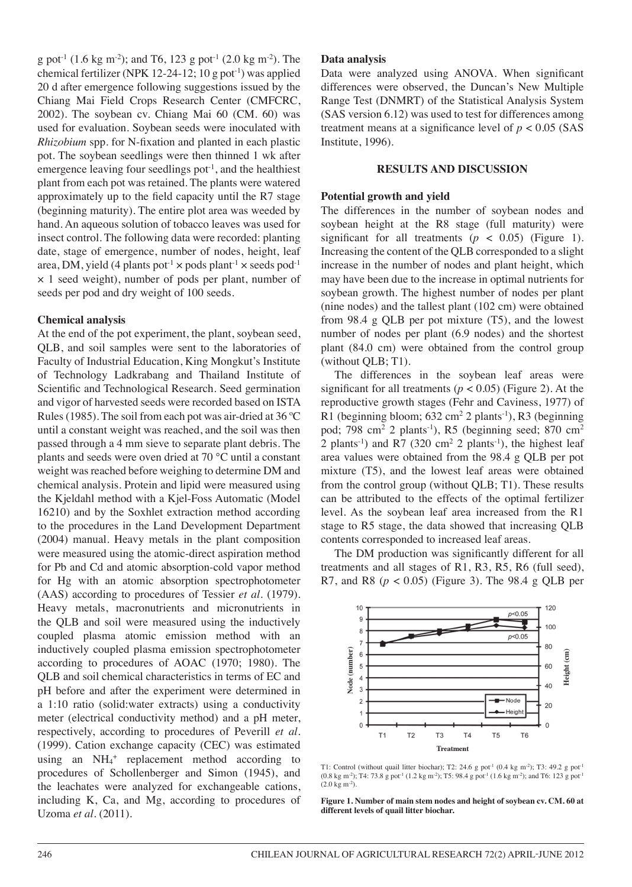g pot<sup>-1</sup> (1.6 kg m<sup>-2</sup>); and T6, 123 g pot<sup>-1</sup> (2.0 kg m<sup>-2</sup>). The chemical fertilizer (NPK 12-24-12; 10 g pot<sup>-1</sup>) was applied 20 d after emergence following suggestions issued by the Chiang Mai Field Crops Research Center (CMFCRC, 2002). The soybean cv. Chiang Mai 60 (CM. 60) was used for evaluation. Soybean seeds were inoculated with *Rhizobium* spp. for N-fixation and planted in each plastic pot. The soybean seedlings were then thinned 1 wk after emergence leaving four seedlings pot<sup> $-1$ </sup>, and the healthiest plant from each pot was retained. The plants were watered approximately up to the field capacity until the R7 stage (beginning maturity). The entire plot area was weeded by hand. An aqueous solution of tobacco leaves was used for insect control. The following data were recorded: planting date, stage of emergence, number of nodes, height, leaf area, DM, yield (4 plants pot<sup>-1</sup>  $\times$  pods plant<sup>-1</sup>  $\times$  seeds pod<sup>-1</sup> × 1 seed weight), number of pods per plant, number of seeds per pod and dry weight of 100 seeds.

# **Chemical analysis**

At the end of the pot experiment, the plant, soybean seed, QLB, and soil samples were sent to the laboratories of Faculty of Industrial Education, King Mongkut's Institute of Technology Ladkrabang and Thailand Institute of Scientific and Technological Research. Seed germination and vigor of harvested seeds were recorded based on ISTA Rules (1985). The soil from each pot was air-dried at 36 ºC until a constant weight was reached, and the soil was then passed through a 4 mm sieve to separate plant debris. The plants and seeds were oven dried at 70 °C until a constant weight was reached before weighing to determine DM and chemical analysis. Protein and lipid were measured using the Kjeldahl method with a Kjel-Foss Automatic (Model 16210) and by the Soxhlet extraction method according to the procedures in the Land Development Department (2004) manual. Heavy metals in the plant composition were measured using the atomic-direct aspiration method for Pb and Cd and atomic absorption-cold vapor method for Hg with an atomic absorption spectrophotometer (AAS) according to procedures of Tessier *et al*. (1979). Heavy metals, macronutrients and micronutrients in the QLB and soil were measured using the inductively coupled plasma atomic emission method with an inductively coupled plasma emission spectrophotometer according to procedures of AOAC (1970; 1980). The QLB and soil chemical characteristics in terms of EC and pH before and after the experiment were determined in a 1:10 ratio (solid:water extracts) using a conductivity meter (electrical conductivity method) and a pH meter, respectively, according to procedures of Peverill *et al*. (1999). Cation exchange capacity (CEC) was estimated using an NH4 + replacement method according to procedures of Schollenberger and Simon (1945), and the leachates were analyzed for exchangeable cations, including K, Ca, and Mg, according to procedures of Uzoma *et al*. (2011).

#### **Data analysis**

Data were analyzed using ANOVA. When significant differences were observed, the Duncan's New Multiple Range Test (DNMRT) of the Statistical Analysis System (SAS version 6.12) was used to test for differences among treatment means at a significance level of  $p < 0.05$  (SAS) Institute, 1996).

# **RESULTS AND DISCUSSION**

#### **Potential growth and yield**

The differences in the number of soybean nodes and soybean height at the R8 stage (full maturity) were significant for all treatments  $(p < 0.05)$  (Figure 1). Increasing the content of the QLB corresponded to a slight increase in the number of nodes and plant height, which may have been due to the increase in optimal nutrients for soybean growth. The highest number of nodes per plant (nine nodes) and the tallest plant (102 cm) were obtained from 98.4 g QLB per pot mixture (T5), and the lowest number of nodes per plant (6.9 nodes) and the shortest plant (84.0 cm) were obtained from the control group (without QLB; T1).

The differences in the soybean leaf areas were significant for all treatments ( $p < 0.05$ ) (Figure 2). At the reproductive growth stages (Fehr and Caviness, 1977) of R1 (beginning bloom;  $632 \text{ cm}^2$  2 plants<sup>-1</sup>), R3 (beginning pod; 798 cm<sup>2</sup> 2 plants<sup>-1</sup>), R5 (beginning seed; 870 cm<sup>2</sup> 2 plants<sup>-1</sup>) and R7 (320 cm<sup>2</sup> 2 plants<sup>-1</sup>), the highest leaf area values were obtained from the 98.4 g QLB per pot mixture (T5), and the lowest leaf areas were obtained from the control group (without QLB; T1). These results can be attributed to the effects of the optimal fertilizer level. As the soybean leaf area increased from the R1 stage to R5 stage, the data showed that increasing QLB contents corresponded to increased leaf areas.

The DM production was significantly different for all treatments and all stages of R1, R3, R5, R6 (full seed), R7, and R8  $(p < 0.05)$  (Figure 3). The 98.4 g QLB per



T1: Control (without quail litter biochar); T2: 24.6 g pot<sup>-1</sup> (0.4 kg m<sup>-2</sup>); T3: 49.2 g pot<sup>-1</sup> (0.8 kg m<sup>-2</sup>); T4: 73.8 g pot<sup>-1</sup> (1.2 kg m<sup>-2</sup>); T5: 98.4 g pot<sup>-1</sup> (1.6 kg m<sup>-2</sup>); and T6: 123 g pot<sup>-1</sup>  $(2.0 \text{ kg m}^{-2})$ .

**Figure 1. Number of main stem nodes and height of soybean cv. CM. 60 at different levels of quail litter biochar.**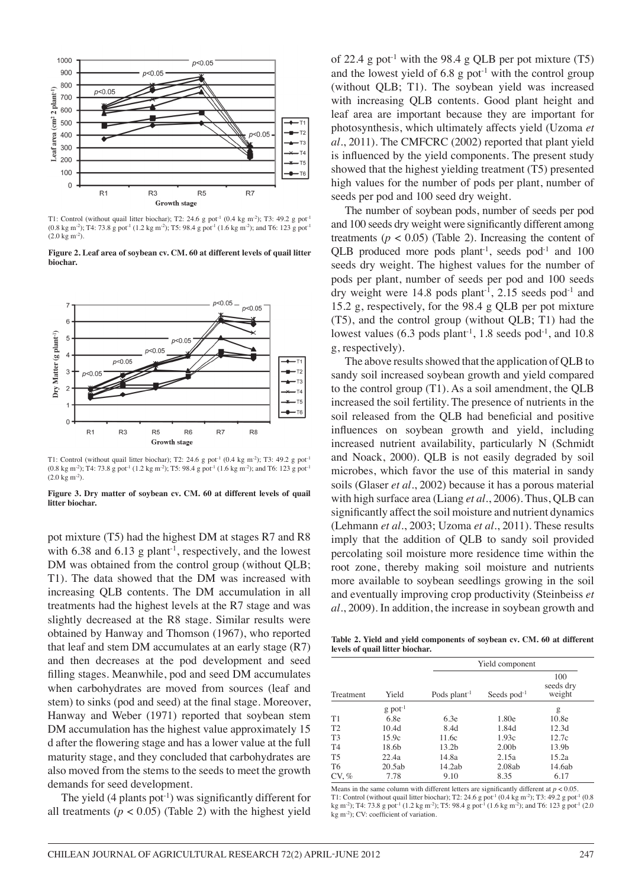

T1: Control (without quail litter biochar); T2: 24.6 g pot<sup>-1</sup> (0.4 kg m<sup>-2</sup>); T3: 49.2 g pot<sup>-1</sup>  $(0.8 \text{ kg m}^2)$ ; T4: 73.8 g pot<sup>-1</sup> (1.2 kg m<sup>-2</sup>); T5: 98.4 g pot<sup>-1</sup> (1.6 kg m<sup>-2</sup>); and T6: 123 g pot<sup>-1</sup> (2.0 kg m-2).

**Figure 2. Leaf area of soybean cv. CM. 60 at different levels of quail litter biochar.**



T1: Control (without quail litter biochar); T2: 24.6 g pot<sup>-1</sup> (0.4 kg m<sup>-2</sup>); T3: 49.2 g pot<sup>-1</sup>  $(0.8 \text{ kg m}^2)$ ; T4: 73.8 g pot<sup>-1</sup> (1.2 kg m<sup>-2</sup>); T5: 98.4 g pot<sup>-1</sup> (1.6 kg m<sup>-2</sup>); and T6: 123 g pot<sup>-1</sup> (2.0 kg m-2).

**Figure 3. Dry matter of soybean cv. CM. 60 at different levels of quail litter biochar.**

pot mixture (T5) had the highest DM at stages R7 and R8 with  $6.38$  and  $6.13$  g plant<sup>-1</sup>, respectively, and the lowest DM was obtained from the control group (without QLB; T1). The data showed that the DM was increased with increasing QLB contents. The DM accumulation in all treatments had the highest levels at the R7 stage and was slightly decreased at the R8 stage. Similar results were obtained by Hanway and Thomson (1967), who reported that leaf and stem DM accumulates at an early stage (R7) and then decreases at the pod development and seed filling stages. Meanwhile, pod and seed DM accumulates when carbohydrates are moved from sources (leaf and stem) to sinks (pod and seed) at the final stage. Moreover, Hanway and Weber (1971) reported that soybean stem DM accumulation has the highest value approximately 15 d after the flowering stage and has a lower value at the full maturity stage, and they concluded that carbohydrates are also moved from the stems to the seeds to meet the growth demands for seed development.

The yield  $(4$  plants pot<sup>-1</sup>) was significantly different for all treatments  $(p < 0.05)$  (Table 2) with the highest yield of 22.4 g pot<sup>-1</sup> with the 98.4 g QLB per pot mixture  $(T5)$ and the lowest yield of 6.8 g pot<sup> $1$ </sup> with the control group (without QLB; T1). The soybean yield was increased with increasing QLB contents. Good plant height and leaf area are important because they are important for photosynthesis, which ultimately affects yield (Uzoma *et al*., 2011). The CMFCRC (2002) reported that plant yield is influenced by the yield components. The present study showed that the highest yielding treatment (T5) presented high values for the number of pods per plant, number of seeds per pod and 100 seed dry weight.

The number of soybean pods, number of seeds per pod and 100 seeds dry weight were significantly different among treatments ( $p < 0.05$ ) (Table 2). Increasing the content of QLB produced more pods plant<sup>-1</sup>, seeds pod<sup>-1</sup> and 100 seeds dry weight. The highest values for the number of pods per plant, number of seeds per pod and 100 seeds dry weight were  $14.8$  pods plant<sup>-1</sup>, 2.15 seeds pod<sup>-1</sup> and 15.2 g, respectively, for the 98.4 g QLB per pot mixture (T5), and the control group (without QLB; T1) had the lowest values  $(6.3 \text{ pods plant}^{-1}, 1.8 \text{ seeds pod}^{-1}, \text{and } 10.8)$ g, respectively).

The above results showed that the application of QLB to sandy soil increased soybean growth and yield compared to the control group (T1). As a soil amendment, the QLB increased the soil fertility. The presence of nutrients in the soil released from the QLB had beneficial and positive influences on soybean growth and yield, including increased nutrient availability, particularly N (Schmidt and Noack, 2000). QLB is not easily degraded by soil microbes, which favor the use of this material in sandy soils (Glaser *et al*., 2002) because it has a porous material with high surface area (Liang *et al*., 2006). Thus, QLB can significantly affect the soil moisture and nutrient dynamics (Lehmann *et al*., 2003; Uzoma *et al*., 2011). These results imply that the addition of QLB to sandy soil provided percolating soil moisture more residence time within the root zone, thereby making soil moisture and nutrients more available to soybean seedlings growing in the soil and eventually improving crop productivity (Steinbeiss *et al*., 2009). In addition, the increase in soybean growth and

**Table 2. Yield and yield components of soybean cv. CM. 60 at different levels of quail litter biochar.**

|                |                       |                          | Yield component         |                   |  |  |  |  |
|----------------|-----------------------|--------------------------|-------------------------|-------------------|--|--|--|--|
| Treatment      | Yield                 | Pods plant <sup>-1</sup> | Seeds pod <sup>-1</sup> |                   |  |  |  |  |
|                | $g$ pot <sup>-1</sup> |                          |                         | g                 |  |  |  |  |
| T1             | 6.8e                  | 6.3e                     | 1.80e                   | 10.8e             |  |  |  |  |
| T <sub>2</sub> | 10.4d                 | 8.4d                     | 1.84d                   | 12.3d             |  |  |  |  |
| T <sub>3</sub> | 15.9c                 | 11.6c                    | 1.93c                   | 12.7c             |  |  |  |  |
| T <sub>4</sub> | 18.6b                 | 13.2 <sub>b</sub>        | 2.00 <sub>b</sub>       | 13.9 <sub>b</sub> |  |  |  |  |
| T <sub>5</sub> | 22.4a                 | 14.8a                    | 2.15a                   | 15.2a             |  |  |  |  |
| T6             | 20.5ab                | 14.2ab                   | 2.08ab                  | 14.6ab            |  |  |  |  |
| CV, %          | 7.78                  | 9.10                     | 8.35                    | 6.17              |  |  |  |  |

Means in the same column with different letters are significantly different at  $p < 0.05$ . T1: Control (without quail litter biochar); T2: 24.6 g pot-1 (0.4 kg m-2); T3: 49.2 g pot-1 (0.8 kg m<sup>-2</sup>); T4: 73.8 g pot<sup>-1</sup> (1.2 kg m<sup>-2</sup>); T5: 98.4 g pot<sup>-1</sup> (1.6 kg m<sup>-2</sup>); and T6: 123 g pot<sup>-1</sup> (2.0 kg m<sup>-2</sup>); CV: coefficient of variation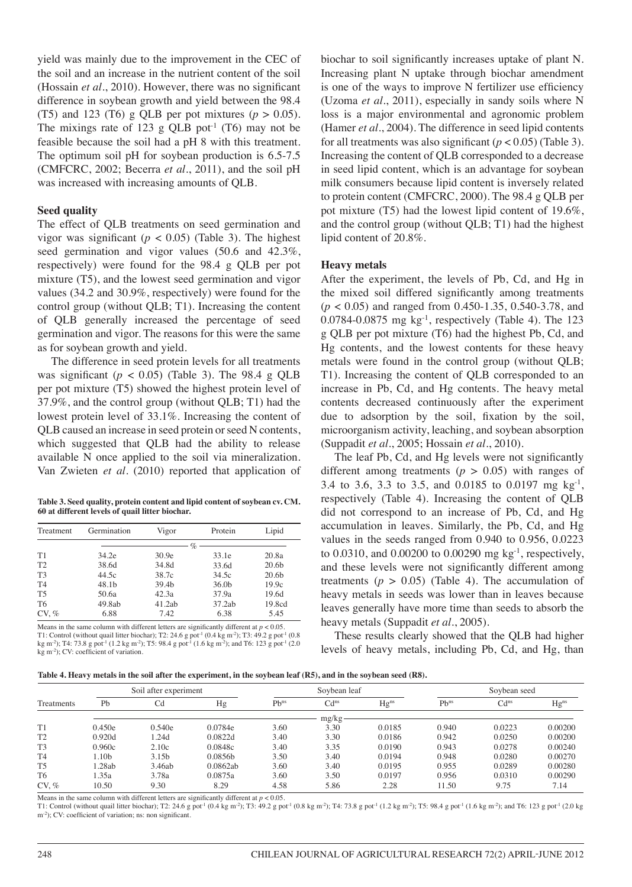yield was mainly due to the improvement in the CEC of the soil and an increase in the nutrient content of the soil (Hossain *et al*., 2010). However, there was no significant difference in soybean growth and yield between the 98.4 (T5) and 123 (T6) g QLB per pot mixtures  $(p > 0.05)$ . The mixings rate of 123 g QLB pot<sup>-1</sup> (T6) may not be feasible because the soil had a pH 8 with this treatment. The optimum soil pH for soybean production is 6.5-7.5 (CMFCRC, 2002; Becerra *et al*., 2011), and the soil pH was increased with increasing amounts of QLB.

#### **Seed quality**

The effect of QLB treatments on seed germination and vigor was significant ( $p < 0.05$ ) (Table 3). The highest seed germination and vigor values (50.6 and 42.3%, respectively) were found for the 98.4 g QLB per pot mixture (T5), and the lowest seed germination and vigor values (34.2 and 30.9%, respectively) were found for the control group (without QLB; T1). Increasing the content of QLB generally increased the percentage of seed germination and vigor. The reasons for this were the same as for soybean growth and yield.

The difference in seed protein levels for all treatments was significant ( $p < 0.05$ ) (Table 3). The 98.4 g QLB per pot mixture (T5) showed the highest protein level of 37.9%, and the control group (without QLB; T1) had the lowest protein level of 33.1%. Increasing the content of QLB caused an increase in seed protein or seed N contents, which suggested that QLB had the ability to release available N once applied to the soil via mineralization. Van Zwieten *et al*. (2010) reported that application of

**Table 3. Seed quality, protein content and lipid content of soybean cv. CM. 60 at different levels of quail litter biochar.**

| Treatment      | Germination | Vigor             |                   | Lipid             |  |  |
|----------------|-------------|-------------------|-------------------|-------------------|--|--|
|                |             | $\%$              |                   |                   |  |  |
| T1             | 34.2e       | 30.9e             | 33.1e             | 20.8a             |  |  |
| T2             | 38.6d       | 34.8d             | 33.6d             | 20.6 <sub>b</sub> |  |  |
| T <sub>3</sub> | 44.5c       | 38.7c             | 34.5c             | 20.6 <sub>b</sub> |  |  |
| T <sub>4</sub> | 48.1b       | 39.4 <sub>b</sub> | 36.0 <sub>b</sub> | 19.9c             |  |  |
| T <sub>5</sub> | 50.6a       | 42.3a             | 37.9a             | 19.6d             |  |  |
| T <sub>6</sub> | 49.8ab      | 41.2ab            | 37.2ab            | 19.8cd            |  |  |
| CV. %          | 6.88        | 7.42              | 6.38              | 5.45              |  |  |

Means in the same column with different letters are significantly different at  $p < 0.05$ . T1: Control (without quail litter biochar); T2: 24.6 g pot<sup>-1</sup> (0.4 kg m<sup>-2</sup>); T3: 49.2 g pot<sup>-1</sup> (0.8 kg m<sup>-2</sup>); T4: 73.8 g pot<sup>-1</sup> (2.0 kg m<sup>-2</sup>); T4: 73.8 g pot<sup>-1</sup> (2.0 kg m<sup>-2</sup>); and T6: 123 g pot<sup>-1</sup> (2.0 kg m<sup>-2</sup>); kg m-2); CV: coefficient of variation.

biochar to soil significantly increases uptake of plant N. Increasing plant N uptake through biochar amendment is one of the ways to improve N fertilizer use efficiency (Uzoma *et al*., 2011), especially in sandy soils where N loss is a major environmental and agronomic problem (Hamer *et al*., 2004). The difference in seed lipid contents for all treatments was also significant  $(p < 0.05)$  (Table 3). Increasing the content of QLB corresponded to a decrease in seed lipid content, which is an advantage for soybean milk consumers because lipid content is inversely related to protein content (CMFCRC, 2000). The 98.4 g QLB per pot mixture (T5) had the lowest lipid content of 19.6%, and the control group (without QLB; T1) had the highest lipid content of 20.8%.

#### **Heavy metals**

After the experiment, the levels of Pb, Cd, and Hg in the mixed soil differed significantly among treatments (*p* < 0.05) and ranged from 0.450-1.35, 0.540-3.78, and 0.0784-0.0875 mg  $kg^{-1}$ , respectively (Table 4). The 123 g QLB per pot mixture (T6) had the highest Pb, Cd, and Hg contents, and the lowest contents for these heavy metals were found in the control group (without QLB; T1). Increasing the content of QLB corresponded to an increase in Pb, Cd, and Hg contents. The heavy metal contents decreased continuously after the experiment due to adsorption by the soil, fixation by the soil, microorganism activity, leaching, and soybean absorption (Suppadit *et al*., 2005; Hossain *et al*., 2010).

The leaf Pb, Cd, and Hg levels were not significantly different among treatments  $(p > 0.05)$  with ranges of 3.4 to 3.6, 3.3 to 3.5, and 0.0185 to 0.0197 mg kg-1, respectively (Table 4). Increasing the content of QLB did not correspond to an increase of Pb, Cd, and Hg accumulation in leaves. Similarly, the Pb, Cd, and Hg values in the seeds ranged from 0.940 to 0.956, 0.0223 to 0.0310, and 0.00200 to 0.00290 mg kg-1, respectively, and these levels were not significantly different among treatments  $(p > 0.05)$  (Table 4). The accumulation of heavy metals in seeds was lower than in leaves because leaves generally have more time than seeds to absorb the heavy metals (Suppadit *et al*., 2005).

These results clearly showed that the QLB had higher levels of heavy metals, including Pb, Cd, and Hg, than

|  |  | Table 4. Heavy metals in the soil after the experiment, in the soybean leaf (R5), and in the soybean seed (R8). |
|--|--|-----------------------------------------------------------------------------------------------------------------|
|--|--|-----------------------------------------------------------------------------------------------------------------|

| Treatments     |        | Soil after experiment |          |           | Soybean leaf     |           |           | Sovbean seed     |           |  |  |
|----------------|--------|-----------------------|----------|-----------|------------------|-----------|-----------|------------------|-----------|--|--|
|                | Pb     | Cd                    | Hg       | $Pb^{ns}$ | Cd <sup>ns</sup> | $Hg^{ns}$ | $Pb^{ns}$ | Cd <sup>ns</sup> | $Hg^{ns}$ |  |  |
|                |        |                       |          |           | mg/kg            |           |           |                  |           |  |  |
| T1             | 0.450e | 0.540e                | 0.0784e  | 3.60      | 3.30             | 0.0185    | 0.940     | 0.0223           | 0.00200   |  |  |
| T <sub>2</sub> | 0.920d | 1.24d                 | 0.0822d  | 3.40      | 3.30             | 0.0186    | 0.942     | 0.0250           | 0.00200   |  |  |
| T <sub>3</sub> | 0.960c | 2.10c                 | 0.0848c  | 3.40      | 3.35             | 0.0190    | 0.943     | 0.0278           | 0.00240   |  |  |
| T <sub>4</sub> | 1.10b  | 3.15 <sub>b</sub>     | 0.0856b  | 3.50      | 3.40             | 0.0194    | 0.948     | 0.0280           | 0.00270   |  |  |
| T <sub>5</sub> | 1.28ab | 3.46ab                | 0.0862ab | 3.60      | 3.40             | 0.0195    | 0.955     | 0.0289           | 0.00280   |  |  |
| T <sub>6</sub> | 1.35a  | 3.78a                 | 0.0875a  | 3.60      | 3.50             | 0.0197    | 0.956     | 0.0310           | 0.00290   |  |  |
| $CV. \%$       | 10.50  | 9.30                  | 8.29     | 4.58      | 5.86             | 2.28      | 11.50     | 9.75             | 7.14      |  |  |

Means in the same column with different letters are significantly different at  $p < 0.05$ .

T1: Control (without quail litter biochar); T2: 24.6 g pot<sup>-1</sup> (0.4 kg m<sup>-2</sup>); T3: 49.2 g pot<sup>-1</sup> (0.8 kg m<sup>-2</sup>); T4: 73.8 g pot<sup>-1</sup> (1.2 kg m<sup>-2</sup>); T5: 98.4 g pot<sup>-1</sup> (1.6 kg m<sup>-2</sup>); Tand T6: 123 g pot<sup>-1</sup> (2.0 kg m-2); CV: coefficient of variation; ns: non significant.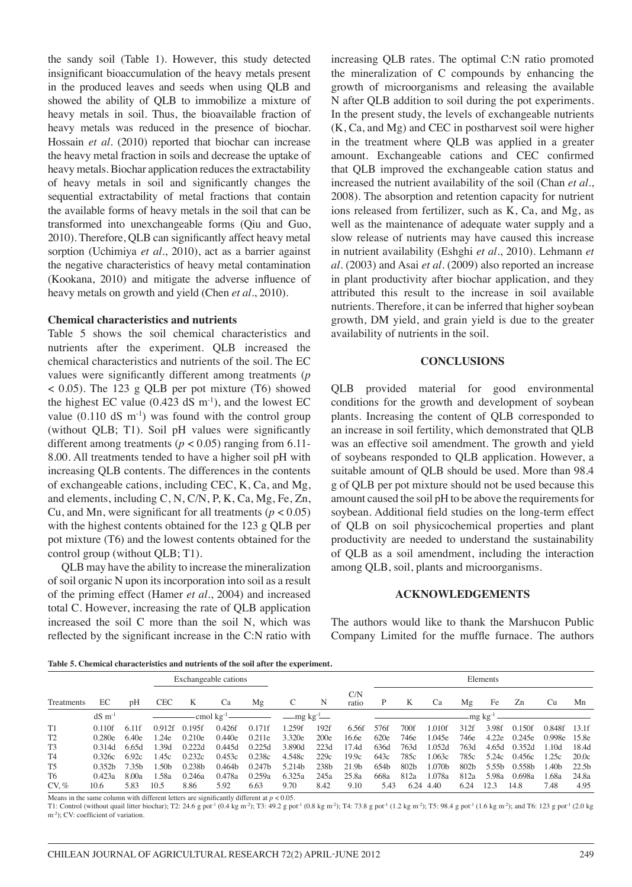the sandy soil (Table 1). However, this study detected insignificant bioaccumulation of the heavy metals present in the produced leaves and seeds when using QLB and showed the ability of QLB to immobilize a mixture of heavy metals in soil. Thus, the bioavailable fraction of heavy metals was reduced in the presence of biochar. Hossain *et al*. (2010) reported that biochar can increase the heavy metal fraction in soils and decrease the uptake of heavy metals. Biochar application reduces the extractability of heavy metals in soil and significantly changes the sequential extractability of metal fractions that contain the available forms of heavy metals in the soil that can be transformed into unexchangeable forms (Qiu and Guo, 2010). Therefore, QLB can significantly affect heavy metal sorption (Uchimiya *et al*., 2010), act as a barrier against the negative characteristics of heavy metal contamination (Kookana, 2010) and mitigate the adverse influence of heavy metals on growth and yield (Chen *et al*., 2010).

### **Chemical characteristics and nutrients**

Table 5 shows the soil chemical characteristics and nutrients after the experiment. QLB increased the chemical characteristics and nutrients of the soil. The EC values were significantly different among treatments (*p*  $<$  0.05). The 123 g QLB per pot mixture (T6) showed the highest EC value  $(0.423 \text{ dS m}^{-1})$ , and the lowest EC value  $(0.110 \text{ dS m}^{-1})$  was found with the control group (without QLB; T1). Soil pH values were significantly different among treatments ( $p < 0.05$ ) ranging from 6.11-8.00. All treatments tended to have a higher soil pH with increasing QLB contents. The differences in the contents of exchangeable cations, including CEC, K, Ca, and Mg, and elements, including C, N, C/N, P, K, Ca, Mg, Fe, Zn, Cu, and Mn, were significant for all treatments ( $p < 0.05$ ) with the highest contents obtained for the 123 g QLB per pot mixture (T6) and the lowest contents obtained for the control group (without QLB; T1).

QLB may have the ability to increase the mineralization of soil organic N upon its incorporation into soil as a result of the priming effect (Hamer *et al*., 2004) and increased total C. However, increasing the rate of QLB application increased the soil C more than the soil N, which was reflected by the significant increase in the C:N ratio with

increasing QLB rates. The optimal C:N ratio promoted the mineralization of C compounds by enhancing the growth of microorganisms and releasing the available N after QLB addition to soil during the pot experiments. In the present study, the levels of exchangeable nutrients (K, Ca, and Mg) and CEC in postharvest soil were higher in the treatment where QLB was applied in a greater amount. Exchangeable cations and CEC confirmed that QLB improved the exchangeable cation status and increased the nutrient availability of the soil (Chan *et al*., 2008). The absorption and retention capacity for nutrient ions released from fertilizer, such as K, Ca, and Mg, as well as the maintenance of adequate water supply and a slow release of nutrients may have caused this increase in nutrient availability (Eshghi *et al*., 2010). Lehmann *et al*. (2003) and Asai *et al*. (2009) also reported an increase in plant productivity after biochar application, and they attributed this result to the increase in soil available nutrients. Therefore, it can be inferred that higher soybean growth, DM yield, and grain yield is due to the greater availability of nutrients in the soil.

#### **CONCLUSIONS**

QLB provided material for good environmental conditions for the growth and development of soybean plants. Increasing the content of QLB corresponded to an increase in soil fertility, which demonstrated that QLB was an effective soil amendment. The growth and yield of soybeans responded to QLB application. However, a suitable amount of QLB should be used. More than 98.4 g of QLB per pot mixture should not be used because this amount caused the soil pH to be above the requirements for soybean. Additional field studies on the long-term effect of QLB on soil physicochemical properties and plant productivity are needed to understand the sustainability of QLB as a soil amendment, including the interaction among QLB, soil, plants and microorganisms.

#### **ACKNOWLEDGEMENTS**

The authors would like to thank the Marshucon Public Company Limited for the muffle furnace. The authors

**Table 5. Chemical characteristics and nutrients of the soil after the experiment.**

| Exchangeable cations |                       |                   |                  |                    |                    |                    |                              | Elements         |                   |      |                  |        |                  |                      |                    |        |                   |
|----------------------|-----------------------|-------------------|------------------|--------------------|--------------------|--------------------|------------------------------|------------------|-------------------|------|------------------|--------|------------------|----------------------|--------------------|--------|-------------------|
| Treatments           | EC                    | pH                | <b>CEC</b>       | K                  | Ca                 | Mg                 |                              | N                | C/N<br>ratio      | Ρ    | K                | Ca     | Mg               | Fe                   | Zn                 | Cu     | Mn                |
|                      | $dS \, \text{m}^{-1}$ |                   |                  |                    |                    |                    | $\equiv$ mg kg <sup>-1</sup> |                  |                   |      |                  |        |                  | -mg kg <sup>-1</sup> |                    |        |                   |
| T <sub>1</sub>       | 0.110f                | 6 11f             | 0.912f           | 0.195f             | 0.426f             | 0.171f             | .259f                        | 192f             | 6.56f             | 576f | 700f             | 1.010f | 312f             | 3.98f                | 0.150f             | 0.848f | 13.1f             |
| T <sub>2</sub>       | 0.280e                | 6.40e             | 1.24e            | 0.210e             | 0.440e             | 0.211e             | 3.320e                       | 200e             | 16.6e             | 620e | 746e             | 1.045e | 746e             | 4.22e                | 0.245e             | 0.998e | 15.8e             |
| T <sub>3</sub>       | 0.314d                | 6.65d             | -39d             | 0.222d             | 0.445d             | 0.225d             | 3.890d                       | 223d             | 17.4d             | 636d | 763d             | 1.052d | 763d             | 4.65d                | 0.352d             | 1.10d  | 18.4d             |
| T <sub>4</sub>       | 0.326c                | 6.92c             | .45c             | 0.232c             | 0.453c             | 0.238c             | 4.548c                       | 229c             | 19.9c             | 643c | 785c             | 1.063c | 785c             | 5.24c                | 0.456c             | 1.25c  | 20.0c             |
| T <sub>5</sub>       | 0.352h                | 7.35 <sub>b</sub> | .50 <sub>b</sub> | 0.238 <sub>b</sub> | 0.464 <sub>b</sub> | 0.247 <sub>b</sub> | 5.214b                       | 238 <sub>b</sub> | 21.9 <sub>b</sub> | 654b | 802 <sub>b</sub> | 1.070b | 802 <sub>b</sub> | 5.55 <sub>h</sub>    | 0.558 <sub>b</sub> | l.40b  | 22.5 <sub>b</sub> |
| T <sub>6</sub>       | 0.423a                | 8.00a             | 1.58a            | 0.246a             | 0.478a             | 0.259a             | 6.325a                       | 245a             | 25.8a             | 668a | 812a             | 1.078a | 812a             | 5.98a                | 0.698a             | l .68a | 24.8a             |
| $CV, \%$             | 10.6                  | 5.83              | 10.5             | 8.86               | 5.92               | 6.63               | 9.70                         | 8.42             | 9.10              | 5.43 | 6.24             | 4.40   | 6.24             | 12.3                 | 14.8               | 7.48   | 4.95              |

Means in the same column with different letters are significantly different at  $p < 0.05$ .

T1: Control (without quail litter biochar); T2: 24.6 g pot<sup>-1</sup> (0.4 kg m<sup>-2</sup>); T3: 49.2 g pot<sup>-1</sup> (0.8 kg m<sup>-2</sup>); T4: 73.8 g pot<sup>-1</sup> (1.2 kg m<sup>-2</sup>); T4: 73.8 g pot<sup>-1</sup> (1.2 kg m<sup>-2</sup>); T5: 98.4 g pot<sup>-1</sup> (1.6 kg m<sup>-2</sup>); an m<sup>-2</sup>); CV: coefficient of variation.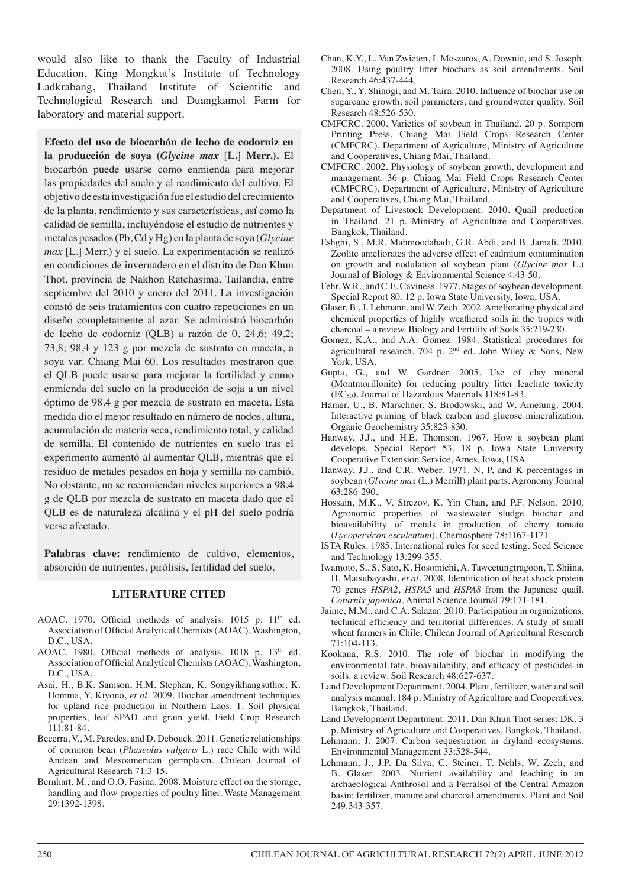would also like to thank the Faculty of Industrial Education, King Mongkut's Institute of Technology Ladkrabang, Thailand Institute of Scientific and Technological Research and Duangkamol Farm for laboratory and material support.

**Efecto del uso de biocarbón de lecho de codorniz en la producción de soya (***Glycine max* [**L.**] **Merr.).** El biocarbón puede usarse como enmienda para mejorar las propiedades del suelo y el rendimiento del cultivo. El objetivo de esta investigación fue el estudio del crecimiento de la planta, rendimiento y sus características, así como la calidad de semilla, incluyéndose el estudio de nutrientes y metales pesados (Pb, Cd y Hg) en la planta de soya (*Glycine max* [L.] Merr.) y el suelo. La experimentación se realizó en condiciones de invernadero en el distrito de Dan Khun Thot, provincia de Nakhon Ratchasima, Tailandia, entre septiembre del 2010 y enero del 2011. La investigación constó de seis tratamientos con cuatro repeticiones en un diseño completamente al azar. Se administró biocarbón de lecho de codorniz (QLB) a razón de 0, 24,6; 49,2; 73,8; 98,4 y 123 g por mezcla de sustrato en maceta, a soya var. Chiang Mai 60. Los resultados mostraron que el QLB puede usarse para mejorar la fertilidad y como enmienda del suelo en la producción de soja a un nivel óptimo de 98.4 g por mezcla de sustrato en maceta. Esta medida dio el mejor resultado en número de nodos, altura, acumulación de materia seca, rendimiento total, y calidad de semilla. El contenido de nutrientes en suelo tras el experimento aumentó al aumentar QLB, mientras que el residuo de metales pesados en hoja y semilla no cambió. No obstante, no se recomiendan niveles superiores a 98.4 g de QLB por mezcla de sustrato en maceta dado que el QLB es de naturaleza alcalina y el pH del suelo podría verse afectado.

Palabras clave: rendimiento de cultivo, elementos, absorción de nutrientes, pirólisis, fertilidad del suelo.

#### **LITERATURE CITED**

- AOAC. 1970. Official methods of analysis. 1015 p. 11<sup>th</sup> ed. Association of Official Analytical Chemists (AOAC), Washington, D.C., USA.
- AOAC. 1980. Official methods of analysis. 1018 p. 13<sup>th</sup> ed. Association of Official Analytical Chemists (AOAC), Washington, D.C., USA.
- Asai, H., B.K. Samson, H.M. Stephan, K. Songyikhangsuthor, K. Homma, Y. Kiyono, *et al*. 2009. Biochar amendment techniques for upland rice production in Northern Laos. 1. Soil physical properties, leaf SPAD and grain yield. Field Crop Research 111:81-84.
- Becerra, V., M. Paredes, and D. Debouck. 2011. Genetic relationships of common bean (*Phaseolus vulgaris* L.) race Chile with wild Andean and Mesoamerican germplasm. Chilean Journal of Agricultural Research 71:3-15.
- Bernhart, M., and O.O. Fasina. 2008. Moisture effect on the storage, handling and flow properties of poultry litter. Waste Management 29:1392-1398.
- Chan, K.Y., L. Van Zwieten, I. Meszaros, A. Downie, and S. Joseph. 2008. Using poultry litter biochars as soil amendments. Soil Research 46:437-444.
- Chen, Y., Y. Shinogi, and M. Taira. 2010. Influence of biochar use on sugarcane growth, soil parameters, and groundwater quality. Soil Research 48:526-530.
- CMFCRC. 2000. Varieties of soybean in Thailand. 20 p. Somporn Printing Press, Chiang Mai Field Crops Research Center (CMFCRC), Department of Agriculture, Ministry of Agriculture and Cooperatives, Chiang Mai, Thailand.
- CMFCRC. 2002. Physiology of soybean growth, development and management. 36 p. Chiang Mai Field Crops Research Center (CMFCRC), Department of Agriculture, Ministry of Agriculture and Cooperatives, Chiang Mai, Thailand.
- Department of Livestock Development. 2010. Quail production in Thailand. 21 p. Ministry of Agriculture and Cooperatives, Bangkok, Thailand.
- Eshghi, S., M.R. Mahmoodabadi, G.R. Abdi, and B. Jamali. 2010. Zeolite ameliorates the adverse effect of cadmium contamination on growth and nodulation of soybean plant (*Glycine max* L.) Journal of Biology & Environmental Science 4:43-50.
- Fehr, W.R., and C.E. Caviness. 1977. Stages of soybean development. Special Report 80. 12 p. Iowa State University, Iowa, USA.
- Glaser, B., J. Lehmann, and W. Zech. 2002. Ameliorating physical and chemical properties of highly weathered soils in the tropics with charcoal – a review. Biology and Fertility of Soils 35:219-230.
- Gomez, K.A., and A.A. Gomez. 1984. Statistical procedures for agricultural research. 704 p. 2nd ed. John Wiley & Sons, New York, USA.
- Gupta, G., and W. Gardner. 2005. Use of clay mineral (Montmorillonite) for reducing poultry litter leachate toxicity (EC50). Journal of Hazardous Materials 118:81-83.
- Hamer, U., B. Marschner, S. Brodowski, and W. Amelung. 2004. Interactive priming of black carbon and glucose mineralization. Organic Geochemistry 35:823-830.
- Hanway, J.J., and H.E. Thomson. 1967. How a soybean plant develops. Special Report 53. 18 p. Iowa State University Cooperative Extension Service, Ames, Iowa, USA.
- Hanway, J.J., and C.R. Weber. 1971. N, P, and K percentages in soybean (*Glycine max* (L.) Merrill) plant parts. Agronomy Journal 63:286-290.
- Hossain, M.K., V. Strezov, K. Yin Chan, and P.F. Nelson. 2010. Agronomic properties of wastewater sludge biochar and bioavailability of metals in production of cherry tomato (*Lycopersicon esculentum*). Chemosphere 78:1167-1171.
- ISTA Rules. 1985. International rules for seed testing. Seed Science and Technology 13:299-355.
- Iwamoto, S., S. Sato, K. Hosomichi, A. Taweetungtragoon, T. Shiina, H. Matsubayashi, *et al*. 2008. Identification of heat shock protein 70 genes *HSPA2*, *HSPA5* and *HSPA8* from the Japanese quail, *Coturnix japonica*. Animal Science Journal 79:171-181.
- Jaime, M.M., and C.A. Salazar. 2010. Participation in organizations, technical efficiency and territorial differences: A study of small wheat farmers in Chile. Chilean Journal of Agricultural Research 71:104-113.
- Kookana, R.S. 2010. The role of biochar in modifying the environmental fate, bioavailability, and efficacy of pesticides in soils: a review. Soil Research 48:627-637.
- Land Development Department. 2004. Plant, fertilizer, water and soil analysis manual. 184 p. Ministry of Agriculture and Cooperatives, Bangkok, Thailand.
- Land Development Department. 2011. Dan Khun Thot series: DK. 3 p. Ministry of Agriculture and Cooperatives, Bangkok, Thailand.
- Lehmann, J. 2007. Carbon sequestration in dryland ecosystems. Environmental Management 33:528-544.
- Lehmann, J., J.P. Da Silva, C. Steiner, T. Nehls, W. Zech, and B. Glaser. 2003. Nutrient availability and leaching in an archaeological Anthrosol and a Ferralsol of the Central Amazon basin: fertilizer, manure and charcoal amendments. Plant and Soil 249:343-357.